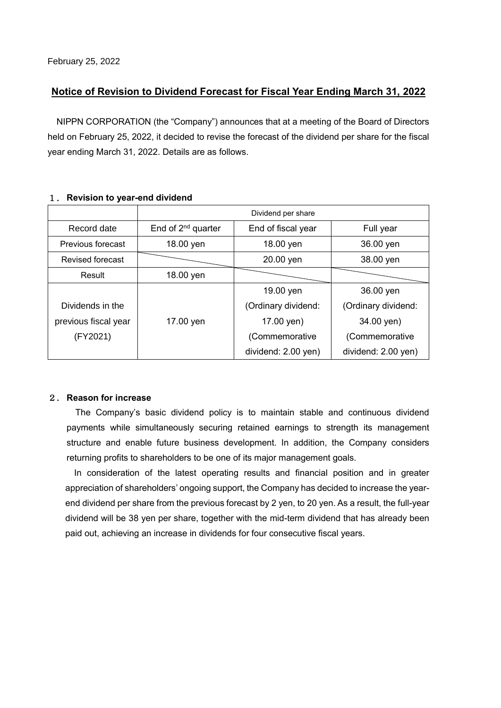## **Notice of Revision to Dividend Forecast for Fiscal Year Ending March 31, 2022**

NIPPN CORPORATION (the "Company") announces that at a meeting of the Board of Directors held on February 25, 2022, it decided to revise the forecast of the dividend per share for the fiscal year ending March 31, 2022. Details are as follows.

|                         | Dividend per share      |                        |                     |  |  |  |  |
|-------------------------|-------------------------|------------------------|---------------------|--|--|--|--|
| Record date             | End of $2^{nd}$ quarter | End of fiscal year     | Full year           |  |  |  |  |
| Previous forecast       | 18.00 yen               | 36.00 yen<br>18.00 yen |                     |  |  |  |  |
| <b>Revised forecast</b> |                         | 20.00 yen              | 38.00 yen           |  |  |  |  |
| Result                  | 18.00 yen               |                        |                     |  |  |  |  |
|                         |                         | 19.00 yen              | 36.00 yen           |  |  |  |  |
| Dividends in the        | (Ordinary dividend:     |                        | (Ordinary dividend: |  |  |  |  |
| previous fiscal year    | 17.00 yen               | 17.00 yen)             | 34.00 yen)          |  |  |  |  |
| (FY2021)                |                         | (Commemorative         | (Commemorative      |  |  |  |  |
|                         |                         | dividend: 2.00 yen)    | dividend: 2.00 yen) |  |  |  |  |

### 1. **Revision to year-end dividend**

#### 2. **Reason for increase**

The Company's basic dividend policy is to maintain stable and continuous dividend payments while simultaneously securing retained earnings to strength its management structure and enable future business development. In addition, the Company considers returning profits to shareholders to be one of its major management goals.

In consideration of the latest operating results and financial position and in greater appreciation of shareholders' ongoing support, the Company has decided to increase the yearend dividend per share from the previous forecast by 2 yen, to 20 yen. As a result, the full-year dividend will be 38 yen per share, together with the mid-term dividend that has already been paid out, achieving an increase in dividends for four consecutive fiscal years.